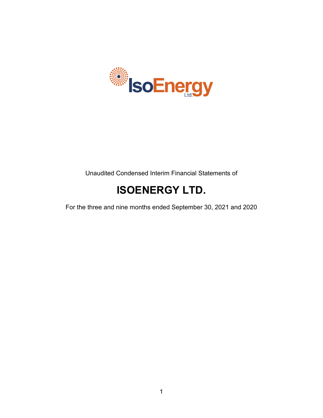

Unaudited Condensed Interim Financial Statements of

# **ISOENERGY LTD.**

For the three and nine months ended September 30, 2021 and 2020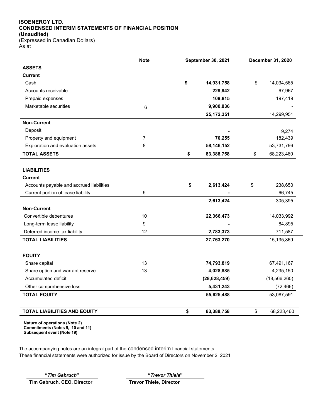## **ISOENERGY LTD. CONDENSED INTERIM STATEMENTS OF FINANCIAL POSITION (Unaudited)**

(Expressed in Canadian Dollars) As at

|                                          | <b>Note</b> | September 30, 2021 |                | December 31, 2020 |                |
|------------------------------------------|-------------|--------------------|----------------|-------------------|----------------|
| <b>ASSETS</b>                            |             |                    |                |                   |                |
| <b>Current</b>                           |             |                    |                |                   |                |
| Cash                                     |             | \$                 | 14,931,758     | \$                | 14,034,565     |
| Accounts receivable                      |             |                    | 229,942        |                   | 67,967         |
| Prepaid expenses                         |             |                    | 109,815        |                   | 197,419        |
| Marketable securities                    | 6           |                    | 9,900,836      |                   |                |
|                                          |             |                    | 25, 172, 351   |                   | 14,299,951     |
| <b>Non-Current</b>                       |             |                    |                |                   |                |
| Deposit                                  |             |                    |                |                   | 9,274          |
| Property and equipment                   | 7           |                    | 70,255         |                   | 182,439        |
| Exploration and evaluation assets        | 8           |                    | 58,146,152     |                   | 53,731,796     |
| <b>TOTAL ASSETS</b>                      |             | \$                 | 83,388,758     | \$                | 68,223,460     |
|                                          |             |                    |                |                   |                |
| <b>LIABILITIES</b>                       |             |                    |                |                   |                |
| <b>Current</b>                           |             |                    |                |                   |                |
| Accounts payable and accrued liabilities |             | \$                 | 2,613,424      | \$                | 238,650        |
| Current portion of lease liability       | 9           |                    |                |                   | 66,745         |
|                                          |             |                    | 2,613,424      |                   | 305,395        |
| <b>Non-Current</b>                       |             |                    |                |                   |                |
| Convertible debentures                   | 10          |                    | 22,366,473     |                   | 14,033,992     |
| Long-term lease liability                | 9           |                    |                |                   | 84,895         |
| Deferred income tax liability            | 12          |                    | 2,783,373      |                   | 711,587        |
| <b>TOTAL LIABILITIES</b>                 |             |                    | 27,763,270     |                   | 15,135,869     |
|                                          |             |                    |                |                   |                |
| <b>EQUITY</b>                            |             |                    |                |                   |                |
| Share capital                            | 13          |                    | 74,793,819     |                   | 67,491,167     |
| Share option and warrant reserve         | 13          |                    | 4,028,885      |                   | 4,235,150      |
| Accumulated deficit                      |             |                    | (28, 628, 459) |                   | (18, 566, 260) |
| Other comprehensive loss                 |             |                    | 5,431,243      |                   | (72, 466)      |
| <b>TOTAL EQUITY</b>                      |             |                    | 55,625,488     |                   | 53,087,591     |
|                                          |             |                    |                |                   |                |
| <b>TOTAL LIABILITIES AND EQUITY</b>      |             | \$                 | 83,388,758     | \$                | 68,223,460     |

 $\overline{\phantom{a}}$ 

**Nature of operations (Note 2) Commitments (Notes 9, 10 and 11) Subsequent event (Note 19)**

The accompanying notes are an integral part of the condensed interim financial statements These financial statements were authorized for issue by the Board of Directors on November 2, 2021

**"***Tim Gabruch***" "***Trevor Thiele***" Tim Gabruch, CEO, Director Trevor Thiele, Director**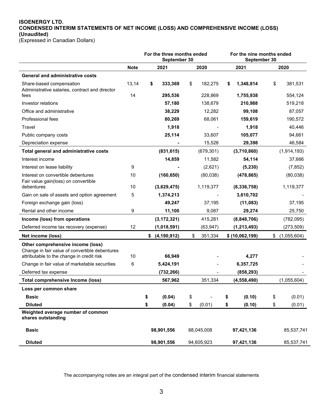## **ISOENERGY LTD. CONDENSED INTERIM STATEMENTS OF NET INCOME (LOSS) AND COMPREHENSIVE INCOME (LOSS) (Unaudited)**

(Expressed in Canadian Dollars)

|                                                         | For the three months ended<br>September 30 |    |                  |    | For the nine months ended<br>September 30 |    |                 |    |             |
|---------------------------------------------------------|--------------------------------------------|----|------------------|----|-------------------------------------------|----|-----------------|----|-------------|
|                                                         | <b>Note</b>                                |    | 2021             |    | 2020                                      |    | 2021            |    | 2020        |
| <b>General and administrative costs</b>                 |                                            |    |                  |    |                                           |    |                 |    |             |
| Share-based compensation                                | 13,14                                      | \$ | 333,369          | \$ | 182,275                                   | \$ | 1,348,814       | \$ | 381,531     |
| Administrative salaries, contract and director<br>fees  | 14                                         |    | 295,536          |    | 228,869                                   |    | 1,755,938       |    | 554,124     |
| Investor relations                                      |                                            |    | 57,180           |    | 138,679                                   |    | 210,988         |    | 519,218     |
| Office and administrative                               |                                            |    | 38,229           |    | 12,282                                    |    | 99,108          |    | 87,057      |
| Professional fees                                       |                                            |    | 80,269           |    | 68,061                                    |    | 159,619         |    | 190,572     |
| Travel                                                  |                                            |    | 1,918            |    |                                           |    | 1,918           |    | 40,446      |
| Public company costs                                    |                                            |    | 25,114           |    | 33,607                                    |    | 105,077         |    | 94,661      |
| Depreciation expense                                    |                                            |    |                  |    | 15,528                                    |    | 29,398          |    | 46,584      |
| Total general and administrative costs                  |                                            |    | (831, 615)       |    | (679, 301)                                |    | (3,710,860)     |    | (1,914,193) |
| Interest income                                         |                                            |    | 14,859           |    | 11,582                                    |    | 54,114          |    | 37,666      |
| Interest on lease liability                             | 9                                          |    |                  |    | (2,621)                                   |    | (5, 230)        |    | (7, 852)    |
| Interest on convertible debentures                      | 10                                         |    | (160, 650)       |    | (80,038)                                  |    | (478, 865)      |    | (80,038)    |
| Fair value gain(loss) on convertible<br>debentures      | 10                                         |    | (3,629,475)      |    | 1,119,377                                 |    | (8,336,758)     |    | 1,119,377   |
| Gain on sale of assets and option agreement             | 5                                          |    | 1,374,213        |    |                                           |    | 3,610,702       |    |             |
| Foreign exchange gain (loss)                            |                                            |    | 49,247           |    | 37.195                                    |    | (11,083)        |    | 37,195      |
| Rental and other income                                 | 9                                          |    | 11,100           |    | 9,087                                     |    | 29,274          |    | 25,750      |
| Income (loss) from operations                           |                                            |    | (3, 172, 321)    |    | 415,281                                   |    | (8,848,706)     |    | (782,095)   |
| Deferred income tax recovery (expense)                  | 12                                         |    | (1,018,591)      |    | (63, 947)                                 |    | (1, 213, 493)   |    | (273, 509)  |
| Net income (loss)                                       |                                            |    | \$ (4, 190, 912) | \$ | 351,334                                   |    | \$ (10,062,199) | \$ | (1,055,604) |
| Other comprehensive income (loss)                       |                                            |    |                  |    |                                           |    |                 |    |             |
| Change in fair value of convertible debentures          |                                            |    |                  |    |                                           |    |                 |    |             |
| attributable to the change in credit risk               | 10                                         |    | 66,949           |    |                                           |    | 4,277           |    |             |
| Change in fair value of marketable securities           | 6                                          |    | 5,424,191        |    |                                           |    | 6,357,725       |    |             |
| Deferred tax expense                                    |                                            |    | (732, 266)       |    |                                           |    | (858, 293)      |    |             |
| <b>Total comprehensive Income (loss)</b>                |                                            |    | 567,962          |    | 351,334                                   |    | (4, 558, 490)   |    | (1,055,604) |
| Loss per common share                                   |                                            |    |                  |    |                                           |    |                 |    |             |
| <b>Basic</b>                                            |                                            | \$ | (0.04)           | \$ |                                           | \$ | (0.10)          | \$ | (0.01)      |
| <b>Diluted</b>                                          |                                            | \$ | (0.04)           | \$ | (0.01)                                    | \$ | (0.10)          | \$ | (0.01)      |
| Weighted average number of common<br>shares outstanding |                                            |    |                  |    |                                           |    |                 |    |             |
| <b>Basic</b>                                            |                                            |    | 98,901,556       |    | 88,045,008                                |    | 97,421,136      |    | 85,537,741  |
| <b>Diluted</b>                                          |                                            |    | 98,901,556       |    | 94,605,923                                |    | 97,421,136      |    | 85,537,741  |

The accompanying notes are an integral part of the condensed interim financial statements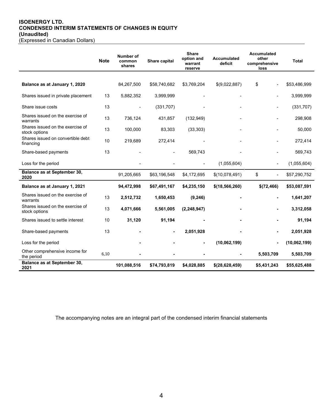# **ISOENERGY LTD. CONDENSED INTERIM STATEMENTS OF CHANGES IN EQUITY (Unaudited)**

|  | (Expressed in Canadian Dollars) |  |
|--|---------------------------------|--|
|  |                                 |  |
|  |                                 |  |

|                                                   | <b>Note</b> | Number of<br>common<br>shares | Share capital | <b>Share</b><br>option and<br>warrant<br>reserve | <b>Accumulated</b><br>deficit | <b>Accumulated</b><br>other<br>comprehensive<br>loss | <b>Total</b> |
|---------------------------------------------------|-------------|-------------------------------|---------------|--------------------------------------------------|-------------------------------|------------------------------------------------------|--------------|
|                                                   |             |                               |               |                                                  |                               |                                                      |              |
| Balance as at January 1, 2020                     |             | 84,267,500                    | \$58,740,682  | \$3,769,204                                      | \$(9,022,887)                 | \$                                                   | \$53,486,999 |
| Shares issued in private placement                | 13          | 5,882,352                     | 3,999,999     |                                                  |                               |                                                      | 3,999,999    |
| Share issue costs                                 | 13          |                               | (331, 707)    |                                                  |                               |                                                      | (331, 707)   |
| Shares issued on the exercise of<br>warrants      | 13          | 736,124                       | 431,857       | (132, 949)                                       |                               | ٠                                                    | 298,908      |
| Shares issued on the exercise of<br>stock options | 13          | 100,000                       | 83,303        | (33, 303)                                        |                               |                                                      | 50,000       |
| Shares issued on convertible debt<br>financing    | 10          | 219,689                       | 272,414       |                                                  |                               |                                                      | 272,414      |
| Share-based payments                              | 13          |                               |               | 569,743                                          |                               |                                                      | 569,743      |
| Loss for the period                               |             |                               |               |                                                  | (1,055,604)                   |                                                      | (1,055,604)  |
| Balance as at September 30,<br>2020               |             | 91,205,665                    | \$63,196,548  | \$4,172,695                                      | \$(10,078,491)                | \$<br>٠                                              | \$57,290,752 |
| Balance as at January 1, 2021                     |             | 94,472,998                    | \$67,491,167  | \$4,235,150                                      | \$(18,566,260)                | \$(72,466)                                           | \$53,087,591 |
| Shares issued on the exercise of<br>warrants      | 13          | 2,512,732                     | 1,650,453     | (9, 246)                                         |                               |                                                      | 1,641,207    |
| Shares issued on the exercise of<br>stock options | 13          | 4,071,666                     | 5,561,005     | (2, 248, 947)                                    |                               |                                                      | 3,312,058    |
| Shares issued to settle interest                  | 10          | 31,120                        | 91,194        |                                                  |                               |                                                      | 91,194       |
| Share-based payments                              | 13          |                               |               | 2,051,928                                        |                               |                                                      | 2,051,928    |
| Loss for the period                               |             |                               |               |                                                  | (10,062,199)                  |                                                      | (10,062,199) |
| Other comprehensive income for<br>the period      | 6,10        |                               |               |                                                  |                               | 5,503,709                                            | 5,503,709    |
| Balance as at September 30,<br>2021               |             | 101,088,516                   | \$74,793,819  | \$4,028,885                                      | \$(28,628,459)                | \$5,431,243                                          | \$55,625,488 |

The accompanying notes are an integral part of the condensed interim financial statements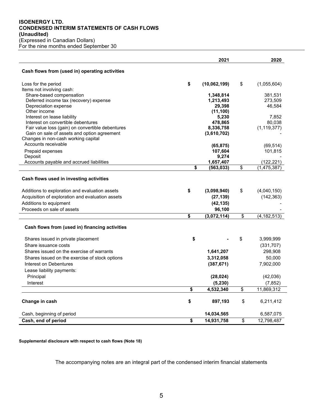## **ISOENERGY LTD. CONDENSED INTERIM STATEMENTS OF CASH FLOWS (Unaudited)** (Expressed in Canadian Dollars)

For the nine months ended September 30

|                                                                    | 2021                   | 2020                |
|--------------------------------------------------------------------|------------------------|---------------------|
| Cash flows from (used in) operating activities                     |                        |                     |
| Loss for the period                                                | \$<br>(10,062,199)     | \$<br>(1,055,604)   |
| Items not involving cash:                                          |                        |                     |
| Share-based compensation<br>Deferred income tax (recovery) expense | 1,348,814<br>1,213,493 | 381,531<br>273,509  |
| Depreciation expense                                               | 29,398                 | 46,584              |
| Other income                                                       | (11, 100)              |                     |
| Interest on lease liability                                        | 5,230                  | 7,852               |
| Interest on convertible debentures                                 | 478,865                | 80.038              |
| Fair value loss (gain) on convertible debentures                   | 8,336,758              | (1, 119, 377)       |
| Gain on sale of assets and option agreement                        | (3,610,702)            |                     |
| Changes in non-cash working capital                                |                        |                     |
| Accounts receivable                                                | (65, 875)              | (69, 514)           |
| Prepaid expenses                                                   | 107,604                | 101,815             |
| Deposit                                                            | 9,274                  |                     |
| Accounts payable and accrued liabilities                           | 1,657,407              | (122, 221)          |
|                                                                    | \$<br>(563, 033)       | \$<br>(1, 475, 387) |
| Cash flows used in investing activities                            |                        |                     |
| Additions to exploration and evaluation assets                     | \$<br>(3,098,940)      | \$<br>(4,040,150)   |
| Acquisition of exploration and evaluation assets                   | (27, 139)              | (142, 363)          |
| Additions to equipment                                             | (42, 135)              |                     |
| Proceeds on sale of assets                                         | 96,100                 |                     |
|                                                                    | \$<br>(3,072,114)      | \$<br>(4, 182, 513) |
| Cash flows from (used in) financing activities                     |                        |                     |
| Shares issued in private placement                                 | \$                     | \$<br>3,999,999     |
| Share issuance costs                                               |                        | (331, 707)          |
| Shares issued on the exercise of warrants                          | 1,641,207              | 298,908             |
| Shares issued on the exercise of stock options                     | 3,312,058              | 50,000              |
| Interest on Debentures                                             | (387, 671)             | 7,902,000           |
| Lease liability payments:                                          |                        |                     |
| Principal                                                          | (28, 024)              | (42,036)            |
| Interest                                                           | (5, 230)               | (7, 852)            |
|                                                                    | \$<br>4,532,340        | \$<br>11,869,312    |
|                                                                    |                        |                     |
| Change in cash                                                     | \$<br>897,193          | \$<br>6,211,412     |
| Cash, beginning of period                                          | 14,034,565             | 6,587,075           |
| Cash, end of period                                                | \$<br>14,931,758       | \$<br>12,798,487    |

## **Supplemental disclosure with respect to cash flows (Note 18)**

The accompanying notes are an integral part of the condensed interim financial statements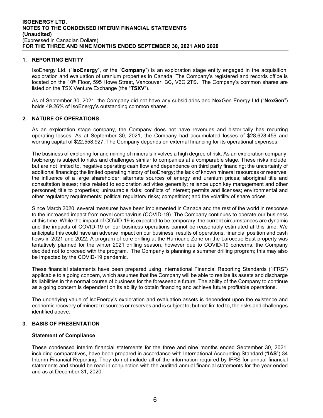## **1. REPORTING ENTITY**

IsoEnergy Ltd. ("**IsoEnergy**", or the "**Company**") is an exploration stage entity engaged in the acquisition, exploration and evaluation of uranium properties in Canada. The Company's registered and records office is located on the 10<sup>th</sup> Floor, 595 Howe Street, Vancouver, BC, V6C 2TS. The Company's common shares are listed on the TSX Venture Exchange (the "**TSXV**").

As of September 30, 2021, the Company did not have any subsidiaries and NexGen Energy Ltd ("**NexGen**") holds 49.26% of IsoEnergy's outstanding common shares.

## **2. NATURE OF OPERATIONS**

As an exploration stage company, the Company does not have revenues and historically has recurring operating losses. As at September 30, 2021, the Company had accumulated losses of \$28,628,459 and working capital of \$22,558,927. The Company depends on external financing for its operational expenses.

The business of exploring for and mining of minerals involves a high degree of risk. As an exploration company, IsoEnergy is subject to risks and challenges similar to companies at a comparable stage. These risks include, but are not limited to, negative operating cash flow and dependence on third party financing; the uncertainty of additional financing; the limited operating history of IsoEnergy; the lack of known mineral resources or reserves; the influence of a large shareholder; alternate sources of energy and uranium prices; aboriginal title and consultation issues; risks related to exploration activities generally; reliance upon key management and other personnel; title to properties; uninsurable risks; conflicts of interest; permits and licenses; environmental and other regulatory requirements; political regulatory risks; competition; and the volatility of share prices.

Since March 2020, several measures have been implemented in Canada and the rest of the world in response to the increased impact from novel coronavirus (COVID-19). The Company continues to operate our business at this time. While the impact of COVID-19 is expected to be temporary, the current circumstances are dynamic and the impacts of COVID-19 on our business operations cannot be reasonably estimated at this time. We anticipate this could have an adverse impact on our business, results of operations, financial position and cash flows in 2021 and 2022. A program of core drilling at the Hurricane Zone on the Larocque East property was tentatively planned for the winter 2021 drilling season, however due to COVID-19 concerns, the Company decided not to proceed with the program. The Company is planning a summer drilling program; this may also be impacted by the COVID-19 pandemic.

These financial statements have been prepared using International Financial Reporting Standards ("IFRS") applicable to a going concern, which assumes that the Company will be able to realize its assets and discharge its liabilities in the normal course of business for the foreseeable future. The ability of the Company to continue as a going concern is dependent on its ability to obtain financing and achieve future profitable operations.

The underlying value of IsoEnergy's exploration and evaluation assets is dependent upon the existence and economic recovery of mineral resources or reserves and is subject to, but not limited to, the risks and challenges identified above.

## **3. BASIS OF PRESENTATION**

## **Statement of Compliance**

These condensed interim financial statements for the three and nine months ended September 30, 2021, including comparatives, have been prepared in accordance with International Accounting Standard ("**IAS**") 34 Interim Financial Reporting. They do not include all of the information required by IFRS for annual financial statements and should be read in conjunction with the audited annual financial statements for the year ended and as at December 31, 2020.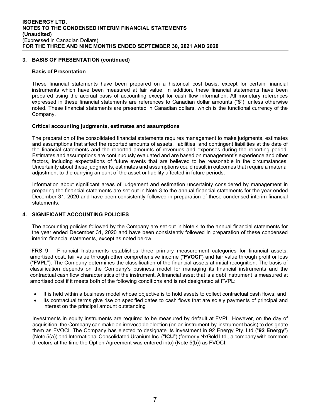## **3. BASIS OF PRESENTATION (continued)**

#### **Basis of Presentation**

These financial statements have been prepared on a historical cost basis, except for certain financial instruments which have been measured at fair value. In addition, these financial statements have been prepared using the accrual basis of accounting except for cash flow information. All monetary references expressed in these financial statements are references to Canadian dollar amounts ("\$"), unless otherwise noted. These financial statements are presented in Canadian dollars, which is the functional currency of the Company.

## **Critical accounting judgments, estimates and assumptions**

The preparation of the consolidated financial statements requires management to make judgments, estimates and assumptions that affect the reported amounts of assets, liabilities, and contingent liabilities at the date of the financial statements and the reported amounts of revenues and expenses during the reporting period. Estimates and assumptions are continuously evaluated and are based on management's experience and other factors, including expectations of future events that are believed to be reasonable in the circumstances. Uncertainty about these judgments, estimates and assumptions could result in outcomes that require a material adjustment to the carrying amount of the asset or liability affected in future periods.

Information about significant areas of judgement and estimation uncertainty considered by management in preparing the financial statements are set out in Note 3 to the annual financial statements for the year ended December 31, 2020 and have been consistently followed in preparation of these condensed interim financial statements.

## **4. SIGNIFICANT ACCOUNTING POLICIES**

The accounting policies followed by the Company are set out in Note 4 to the annual financial statements for the year ended December 31, 2020 and have been consistently followed in preparation of these condensed interim financial statements, except as noted below.

IFRS 9 – Financial Instruments establishes three primary measurement categories for financial assets: amortised cost, fair value through other comprehensive income ("**FVOCI**") and fair value through profit or loss ("**FVPL**"). The Company determines the classification of the financial assets at initial recognition. The basis of classification depends on the Company's business model for managing its financial instruments and the contractual cash flow characteristics of the instrument. A financial asset that is a debt instrument is measured at amortised cost if it meets both of the following conditions and is not designated at FVPL:

- It is held within a business model whose objective is to hold assets to collect contractual cash flows; and
- Its contractual terms give rise on specified dates to cash flows that are solely payments of principal and interest on the principal amount outstanding

Investments in equity instruments are required to be measured by default at FVPL. However, on the day of acquisition, the Company can make an irrevocable election (on an instrument-by-instrument basis) to designate them as FVOCI. The Company has elected to designate its investment in 92 Energy Pty. Ltd ("**92 Energy**") (Note 5(a)) and International Consolidated Uranium Inc. ("**ICU**") (formerly NxGold Ltd., a company with common directors at the time the Option Agreement was entered into) (Note 5(b)) as FVOCI.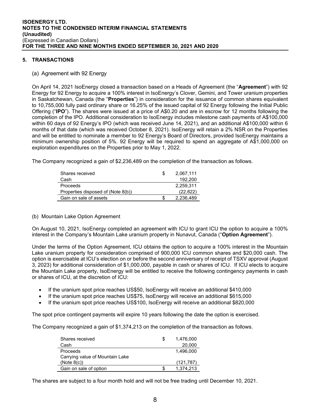## **5. TRANSACTIONS**

## (a) Agreement with 92 Energy

On April 14, 2021 IsoEnergy closed a transaction based on a Heads of Agreement (the "**Agreement**") with 92 Energy for 92 Energy to acquire a 100% interest in IsoEnergy's Clover, Gemini, and Tower uranium properties in Saskatchewan, Canada (the "**Properties**") in consideration for the issuance of common shares equivalent to 10,755,000 fully paid ordinary share or 16.25% of the issued capital of 92 Energy following the Initial Public Offering ("**IPO**"). The shares were issued at a price of A\$0.20 and are in escrow for 12 months following the completion of the IPO. Additional consideration to IsoEnergy includes milestone cash payments of A\$100,000 within 60 days of 92 Energy's IPO (which was received June 14, 2021), and an additional A\$100,000 within 6 months of that date (which was received October 8, 2021). IsoEnergy will retain a 2% NSR on the Properties and will be entitled to nominate a member to 92 Energy's Board of Directors, provided IsoEnergy maintains a minimum ownership position of 5%. 92 Energy will be required to spend an aggregate of A\$1,000,000 on exploration expenditures on the Properties prior to May 1, 2022.

The Company recognized a gain of \$2,236,489 on the completion of the transaction as follows.

| Shares received                    |   | 2,067,111 |
|------------------------------------|---|-----------|
| Cash                               |   | 192.200   |
| Proceeds                           |   | 2.259.311 |
| Properties disposed of (Note 8(b)) |   | (22.822)  |
| Gain on sale of assets             | S | 2.236.489 |

## (b) Mountain Lake Option Agreement

On August 10, 2021, IsoEnergy completed an agreement with ICU to grant ICU the option to acquire a 100% interest in the Company's Mountain Lake uranium property in Nunavut, Canada ("**Option Agreement**").

Under the terms of the Option Agreement, ICU obtains the option to acquire a 100% interest in the Mountain Lake uranium property for consideration comprised of 900,000 ICU common shares and \$20,000 cash. The option is exercisable at ICU's election on or before the second anniversary of receipt of TSXV approval (August 3, 2023) for additional consideration of \$1,000,000, payable in cash or shares of ICU. If ICU elects to acquire the Mountain Lake property, IsoEnergy will be entitled to receive the following contingency payments in cash or shares of ICU, at the discretion of ICU:

- If the uranium spot price reaches US\$50, IsoEnergy will receive an additional \$410,000
- If the uranium spot price reaches US\$75, IsoEnergy will receive an additional \$615,000
- If the uranium spot price reaches US\$100, IsoEnergy will receive an additional \$820,000

The spot price contingent payments will expire 10 years following the date the option is exercised.

The Company recognized a gain of \$1,374,213 on the completion of the transaction as follows.

| Shares received                 | S | 1,476,000  |
|---------------------------------|---|------------|
| Cash                            |   | 20,000     |
| Proceeds                        |   | 1.496.000  |
| Carrying value of Mountain Lake |   |            |
| (Note 8(c))                     |   | (121, 787) |
| Gain on sale of option          |   | 1.374.213  |

The shares are subject to a four month hold and will not be free trading until December 10, 2021.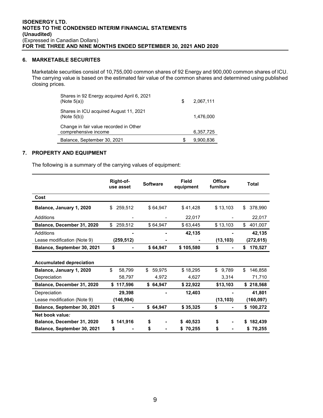## **6. MARKETABLE SECURITES**

Marketable securities consist of 10,755,000 common shares of 92 Energy and 900,000 common shares of ICU. The carrying value is based on the estimated fair value of the common shares and determined using published closing prices.

| Shares in 92 Energy acquired April 6, 2021<br>(Note $5(a)$ )   | \$. | 2.067.111 |
|----------------------------------------------------------------|-----|-----------|
| Shares in ICU acquired August 11, 2021<br>(Note 5(b))          |     | 1.476.000 |
| Change in fair value recorded in Other<br>comprehensive income |     | 6,357,725 |
| Balance, September 30, 2021                                    | S   | 9.900.836 |

## **7. PROPERTY AND EQUIPMENT**

The following is a summary of the carrying values of equipment:

|                                 | Right-of-<br>use asset | <b>Software</b> | Field<br>equipment | Office<br>furniture | <b>Total</b>  |
|---------------------------------|------------------------|-----------------|--------------------|---------------------|---------------|
| Cost                            |                        |                 |                    |                     |               |
| Balance, January 1, 2020        | 259,512<br>\$          | \$64,947        | \$41,428           | \$13,103            | \$<br>378.990 |
| Additions                       |                        |                 | 22,017             |                     | 22,017        |
| Balance, December 31, 2020      | \$<br>259,512          | \$64,947        | \$63,445           | \$13,103            | \$<br>401,007 |
| Additions                       |                        |                 | 42,135             |                     | 42,135        |
| Lease modification (Note 9)     | (259, 512)             |                 |                    | (13, 103)           | (272,615)     |
| Balance, September 30, 2021     | \$                     | \$64,947        | \$105,580          | \$                  | 170,527<br>\$ |
| <b>Accumulated depreciation</b> |                        |                 |                    |                     |               |
| Balance, January 1, 2020        | \$<br>58.799           | \$<br>59,975    | \$18,295           | \$<br>9,789         | \$<br>146,858 |
| Depreciation                    | 58,797                 | 4,972           | 4,627              | 3,314               | 71,710        |
| Balance, December 31, 2020      | \$117,596              | \$64,947        | \$22,922           | \$13,103            | \$218,568     |
| Depreciation                    | 29,398                 |                 | 12,403             |                     | 41,801        |
| Lease modification (Note 9)     | (146,994)              |                 |                    | (13, 103)           | (160, 097)    |
| Balance, September 30, 2021     | \$                     | \$64,947        | \$35,325           | \$                  | \$<br>100,272 |
| Net book value:                 |                        |                 |                    |                     |               |
| Balance, December 31, 2020      | 141,916<br>S.          | \$              | 40,523<br>S        | \$                  | 182,439       |
| Balance, September 30, 2021     | \$                     | \$              | 70,255<br>\$       | \$                  | \$70.255      |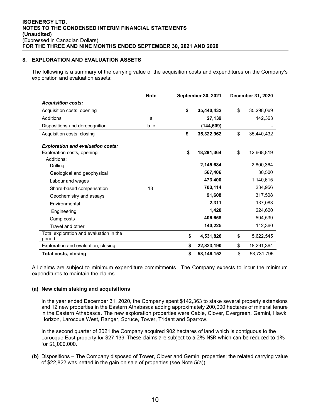## **8. EXPLORATION AND EVALUATION ASSETS**

The following is a summary of the carrying value of the acquisition costs and expenditures on the Company's exploration and evaluation assets:

|                                                   | <b>Note</b> | <b>September 30, 2021</b> |            | <b>December 31, 2020</b> |            |
|---------------------------------------------------|-------------|---------------------------|------------|--------------------------|------------|
| <b>Acquisition costs:</b>                         |             |                           |            |                          |            |
| Acquisition costs, opening                        |             | \$                        | 35.440.432 | \$                       | 35,298,069 |
| Additions                                         | a           |                           | 27,139     |                          | 142,363    |
| Dispositions and derecognition                    | b, c        |                           | (144, 609) |                          |            |
| Acquisition costs, closing                        |             | \$                        | 35,322,962 | \$                       | 35,440,432 |
| <b>Exploration and evaluation costs:</b>          |             |                           |            |                          |            |
| Exploration costs, opening                        |             | \$                        | 18,291,364 | \$                       | 12,668,819 |
| Additions:                                        |             |                           |            |                          |            |
| Drilling                                          |             |                           | 2,145,684  |                          | 2,800,364  |
| Geological and geophysical                        |             |                           | 567,406    |                          | 30,500     |
| Labour and wages                                  |             |                           | 473,400    |                          | 1,140,615  |
| Share-based compensation                          | 13          |                           | 703,114    |                          | 234,956    |
| Geochemistry and assays                           |             |                           | 91,608     |                          | 317,508    |
| Fnvironmental                                     |             |                           | 2,311      |                          | 137,083    |
| Engineering                                       |             |                           | 1,420      |                          | 224,620    |
| Camp costs                                        |             |                           | 406,658    |                          | 594,539    |
| Travel and other                                  |             |                           | 140,225    |                          | 142,360    |
| Total exploration and evaluation in the<br>period |             | \$                        | 4,531,826  | \$                       | 5,622,545  |
| Exploration and evaluation, closing               |             | \$                        | 22,823,190 | \$                       | 18,291,364 |
| <b>Total costs, closing</b>                       |             | \$                        | 58,146,152 | \$                       | 53,731,796 |

All claims are subject to minimum expenditure commitments. The Company expects to incur the minimum expenditures to maintain the claims.

## **(a) New claim staking and acquisitions**

In the year ended December 31, 2020, the Company spent \$142,363 to stake several property extensions and 12 new properties in the Eastern Athabasca adding approximately 200,000 hectares of mineral tenure in the Eastern Athabasca. The new exploration properties were Cable, Clover, Evergreen, Gemini, Hawk, Horizon, Larocque West, Ranger, Spruce, Tower, Trident and Sparrow.

In the second quarter of 2021 the Company acquired 902 hectares of land which is contiguous to the Larocque East property for \$27,139. These claims are subject to a 2% NSR which can be reduced to 1% for \$1,000,000.

**(b)** Dispositions – The Company disposed of Tower, Clover and Gemini properties; the related carrying value of \$22,822 was netted in the gain on sale of properties (see Note 5(a)).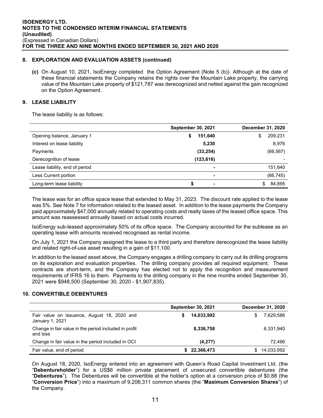## **8. EXPLORATION AND EVALUATION ASSETS (continued)**

**(c)** On August 10, 2021, IsoEnergy completed the Option Agreement (Note 5 (b)). Although at the date of these financial statements the Company retains the rights over the Mountain Lake property, the carrying value of the Mountain Lake property of \$121,787 was derecognized and netted against the gain recognized on the Option Agreement.

## **9. LEASE LIABILITY**

The lease liability is as follows:

|                                | <b>September 30, 2021</b> | December 31, 2020 |
|--------------------------------|---------------------------|-------------------|
| Opening balance, January 1     | 151,640<br>\$             | 209,231<br>\$     |
| Interest on lease liability    | 5,230                     | 8,976             |
| Payments                       | (33, 254)                 | (66, 567)         |
| Derecognition of lease         | (123, 616)                | $\blacksquare$    |
| Lease liability, end of period | $\overline{\phantom{0}}$  | 151,640           |
| Less Current portion           | $\overline{\phantom{0}}$  | (66, 745)         |
| Long-term lease liability      | S<br>$\blacksquare$       | 84,895            |

The lease was for an office space lease that extended to May 31, 2023. The discount rate applied to the lease was 5%. See Note 7 for information related to the leased asset. In addition to the lease payments the Company paid approximately \$47,000 annually related to operating costs and realty taxes of the leased office space. This amount was reassessed annually based on actual costs incurred.

IsoEnergy sub-leased approximately 50% of its office space. The Company accounted for the sublease as an operating lease with amounts received recognised as rental income.

On July 1, 2021 the Company assigned the lease to a third party and therefore derecognized the lease liability and related right-of-use asset resulting in a gain of \$11,100.

In addition to the leased asset above, the Company engages a drilling company to carry out its drilling programs on its exploration and evaluation properties. The drilling company provides all required equipment. These contracts are short-term, and the Company has elected not to apply the recognition and measurement requirements of IFRS 16 to them. Payments to the drilling company in the nine months ended September 30, 2021 were \$948,500 (September 30, 2020 - \$1,907,835).

## **10. CONVERTIBLE DEBENTURES**

|                                                                   | <b>September 30, 2021</b> | December 31, 2020 |
|-------------------------------------------------------------------|---------------------------|-------------------|
| Fair value on issuance, August 18, 2020 and<br>January 1, 2021    | 14,033,992<br>S           | 7,629,586<br>S.   |
| Change in fair value in the period included in profit<br>and loss | 8,336,758                 | 6,331,940         |
| Change in fair value in the period included in OCI                | (4,277)                   | 72.466            |
| Fair value, end of period                                         | 22,366,473                | 14,033,992<br>S.  |

On August 18, 2020, IsoEnergy entered into an agreement with Queen's Road Capital Investment Ltd. (the "**Debentureholder**") for a US\$6 million private placement of unsecured convertible debentures (the "**Debentures**"). The Debentures will be convertible at the holder's option at a conversion price of \$0.88 (the "**Conversion Price**") into a maximum of 9,206,311 common shares (the "**Maximum Conversion Shares**") of the Company.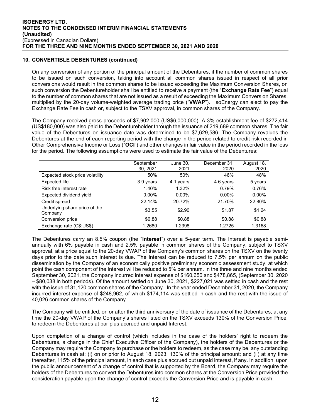## **10. CONVERTIBLE DEBENTURES (continued)**

On any conversion of any portion of the principal amount of the Debentures, if the number of common shares to be issued on such conversion, taking into account all common shares issued in respect of all prior conversions would result in the common shares to be issued exceeding the Maximum Conversion Shares, on such conversion the Debentureholder shall be entitled to receive a payment (the "**Exchange Rate Fee**") equal to the number of common shares that are not issued as a result of exceeding the Maximum Conversion Shares, multiplied by the 20-day volume-weighted average trading price ("**VWAP**"). IsoEnergy can elect to pay the Exchange Rate Fee in cash or, subject to the TSXV approval, in common shares of the Company.

The Company received gross proceeds of \$7,902,000 (US\$6,000,000). A 3% establishment fee of \$272,414 (US\$180,000) was also paid to the Debentureholder through the issuance of 219,689 common shares. The fair value of the Debentures on issuance date was determined to be \$7,629,586. The Company revalues the Debentures at the end of each reporting period with the change in the period related to credit risk recorded in Other Comprehensive Income or Loss ("**OCI**") and other changes in fair value in the period recorded in the loss for the period. The following assumptions were used to estimate the fair value of the Debentures:

|                                          | September<br>30, 2021 | June 30,<br>2021 | December 31,<br>2020 | August 18,<br>2020 |
|------------------------------------------|-----------------------|------------------|----------------------|--------------------|
| Expected stock price volatility          | 50%                   | 50%              | 46%                  | 48%                |
| <b>Expected life</b>                     | 3.9 years             | 4.1 years        | 4.6 years            | 5 years            |
| Risk free interest rate                  | 1.40%                 | 1.32%            | 0.79%                | 0.76%              |
| Expected dividend yield                  | $0.00\%$              | $0.00\%$         | $0.00\%$             | $0.00\%$           |
| Credit spread                            | 22.14%                | 20.72%           | 21.70%               | 22.80%             |
| Underlying share price of the<br>Company | \$3.55                | \$2.90           | \$1.87               | \$1.24             |
| Conversion price                         | \$0.88                | \$0.88           | \$0.88               | \$0.88             |
| Exchange rate (C\$:US\$)                 | 1.2680                | 1.2398           | 1.2725               | 1.3168             |

The Debentures carry an 8.5% coupon (the "**Interest**") over a 5-year term. The Interest is payable semiannually with 6% payable in cash and 2.5% payable in common shares of the Company, subject to TSXV approval, at a price equal to the 20-day VWAP of the Company's common shares on the TSXV on the twenty days prior to the date such Interest is due. The Interest can be reduced to 7.5% per annum on the public dissemination by the Company of an economically positive preliminary economic assessment study, at which point the cash component of the Interest will be reduced to 5% per annum. In the three and nine months ended September 30, 2021, the Company incurred interest expense of \$160,650 and \$478,865, (September 30, 2020 – \$80,038 in both periods). Of the amount settled on June 30, 2021, \$227,021 was settled in cash and the rest with the issue of 31,120 common shares of the Company. In the year ended December 31, 2020, the Company incurred interest expense of \$248,962, of which \$174,114 was settled in cash and the rest with the issue of 40,026 common shares of the Company.

The Company will be entitled, on or after the third anniversary of the date of issuance of the Debentures, at any time the 20-day VWAP of the Company's shares listed on the TSXV exceeds 130% of the Conversion Price, to redeem the Debentures at par plus accrued and unpaid Interest.

Upon completion of a change of control (which includes in the case of the holders' right to redeem the Debentures, a change in the Chief Executive Officer of the Company), the holders of the Debentures or the Company may require the Company to purchase or the holders to redeem, as the case may be, any outstanding Debentures in cash at: (i) on or prior to August 18, 2023, 130% of the principal amount; and (ii) at any time thereafter, 115% of the principal amount, in each case plus accrued but unpaid interest, if any. In addition, upon the public announcement of a change of control that is supported by the Board, the Company may require the holders of the Debentures to convert the Debentures into common shares at the Conversion Price provided the consideration payable upon the change of control exceeds the Conversion Price and is payable in cash.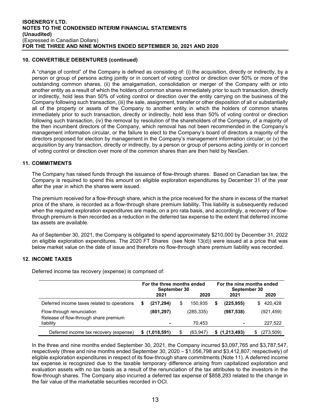## **10. CONVERTIBLE DEBENTURES (continued)**

A "change of control" of the Company is defined as consisting of: (i) the acquisition, directly or indirectly, by a person or group of persons acting jointly or in concert of voting control or direction over 50% or more of the outstanding common shares, (ii) the amalgamation, consolidation or merger of the Company with or into another entity as a result of which the holders of common shares immediately prior to such transaction, directly or indirectly, hold less than 50% of voting control or direction over the entity carrying on the business of the Company following such transaction, (iii) the sale, assignment, transfer or other disposition of all or substantially all of the property or assets of the Company to another entity in which the holders of common shares immediately prior to such transaction, directly or indirectly, hold less than 50% of voting control or direction following such transaction, (iv) the removal by resolution of the shareholders of the Company, of a majority of the then incumbent directors of the Company, which removal has not been recommended in the Company's management information circular, or the failure to elect to the Company's board of directors a majority of the directors proposed for election by management in the Company's management information circular; or (v) the acquisition by any transaction, directly or indirectly, by a person or group of persons acting jointly or in concert of voting control or direction over more of the common shares than are then held by NexGen.

## **11. COMMITMENTS**

The Company has raised funds through the issuance of flow-through shares. Based on Canadian tax law, the Company is required to spend this amount on eligible exploration expenditures by December 31 of the year after the year in which the shares were issued.

The premium received for a flow-through share, which is the price received for the share in excess of the market price of the share, is recorded as a flow-through share premium liability. This liability is subsequently reduced when the required exploration expenditures are made, on a pro rata basis, and accordingly, a recovery of flowthrough premium is then recorded as a reduction in the deferred tax expense to the extent that deferred income tax assets are available.

As of September 30, 2021, the Company is obligated to spend approximately \$210,000 by December 31, 2022 on eligible exploration expenditures. The 2020 FT Shares (see Note 13(d)) were issued at a price that was below market value on the date of issue and therefore no flow-through share premium liability was recorded.

## **12. INCOME TAXES**

Deferred income tax recovery (expense) is comprised of:

|                                                                    | For the three months ended<br>September 30 |               |      |            | For the nine months ended<br>September 30 |               |               |  |
|--------------------------------------------------------------------|--------------------------------------------|---------------|------|------------|-------------------------------------------|---------------|---------------|--|
|                                                                    |                                            | 2021          | 2020 |            |                                           | 2021          | 2020          |  |
| Deferred income taxes related to operations                        | S                                          | (217,294)     | \$   | 150.935    | S                                         | (225,955)     | 420,428<br>S. |  |
| Flow-through renunciation<br>Release of flow-through share premium |                                            | (801, 297)    |      | (285, 335) |                                           | (987, 538)    | (921, 459)    |  |
| liability                                                          |                                            | -             |      | 70.453     |                                           | ۰             | 227,522       |  |
| Deferred income tax recovery (expense)                             |                                            | \$(1,018,591) |      | (63.947)   |                                           | \$(1,213,493) | (273, 509)    |  |

In the three and nine months ended September 30, 2021, the Company incurred \$3,097,765 and \$3,787,547, respectively (three and nine months ended September 30, 2020 – \$1,056,798 and \$3,412,807, respectively) of eligible exploration expenditures in respect of its flow-through share commitments (Note 11). A deferred income tax expense is recognized due to the taxable temporary difference arising from capitalized exploration and evaluation assets with no tax basis as a result of the renunciation of the tax attributes to the investors in the flow-through shares. The Company also incurred a deferred tax expense of \$858,293 related to the change in the fair value of the marketable securities recorded in OCI.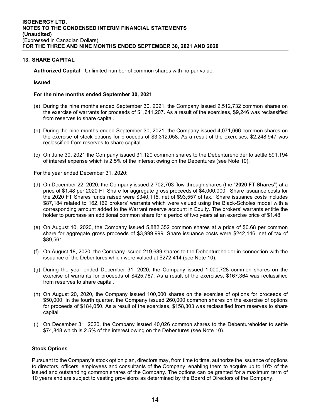## **13. SHARE CAPITAL**

**Authorized Capital** - Unlimited number of common shares with no par value.

## **Issued**

## **For the nine months ended September 30, 2021**

- (a) During the nine months ended September 30, 2021, the Company issued 2,512,732 common shares on the exercise of warrants for proceeds of \$1,641,207. As a result of the exercises, \$9,246 was reclassified from reserves to share capital.
- (b) During the nine months ended September 30, 2021, the Company issued 4,071,666 common shares on the exercise of stock options for proceeds of \$3,312,058. As a result of the exercises, \$2,248,947 was reclassified from reserves to share capital.
- (c) On June 30, 2021 the Company issued 31,120 common shares to the Debentureholder to settle \$91,194 of interest expense which is 2.5% of the interest owing on the Debentures (see Note 10).

For the year ended December 31, 2020:

- (d) On December 22, 2020, the Company issued 2,702,703 flow-through shares (the "**2020 FT Shares**") at a price of \$1.48 per 2020 FT Share for aggregate gross proceeds of \$4,000,000. Share issuance costs for the 2020 FT Shares funds raised were \$340,115, net of \$93,557 of tax. Share issuance costs includes \$87,184 related to 162,162 brokers' warrants which were valued using the Black-Scholes model with a corresponding amount added to the Warrant reserve account in Equity. The brokers' warrants entitle the holder to purchase an additional common share for a period of two years at an exercise price of \$1.48.
- (e) On August 10, 2020, the Company issued 5,882,352 common shares at a price of \$0.68 per common share for aggregate gross proceeds of \$3,999,999. Share issuance costs were \$242,146, net of tax of \$89,561.
- (f) On August 18, 2020, the Company issued 219,689 shares to the Debentureholder in connection with the issuance of the Debentures which were valued at \$272,414 (see Note 10).
- (g) During the year ended December 31, 2020, the Company issued 1,000,728 common shares on the exercise of warrants for proceeds of \$425,767. As a result of the exercises, \$167,364 was reclassified from reserves to share capital.
- (h) On August 20, 2020, the Company issued 100,000 shares on the exercise of options for proceeds of \$50,000. In the fourth quarter, the Company issued 260,000 common shares on the exercise of options for proceeds of \$184,050. As a result of the exercises, \$158,303 was reclassified from reserves to share capital.
- (i) On December 31, 2020, the Company issued 40,026 common shares to the Debentureholder to settle \$74,848 which is 2.5% of the interest owing on the Debentures (see Note 10).

## **Stock Options**

Pursuant to the Company's stock option plan, directors may, from time to time, authorize the issuance of options to directors, officers, employees and consultants of the Company, enabling them to acquire up to 10% of the issued and outstanding common shares of the Company. The options can be granted for a maximum term of 10 years and are subject to vesting provisions as determined by the Board of Directors of the Company.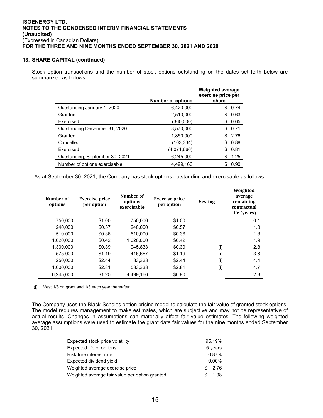#### **13. SHARE CAPITAL (continued)**

Stock option transactions and the number of stock options outstanding on the dates set forth below are summarized as follows:

|                                 | <b>Number of options</b> | <b>Weighted average</b><br>exercise price per<br>share |
|---------------------------------|--------------------------|--------------------------------------------------------|
| Outstanding January 1, 2020     | 6.420.000                | 0.74<br>S                                              |
| Granted                         | 2,510,000                | \$<br>0.63                                             |
| Exercised                       | (360,000)                | 0.65<br>S                                              |
| Outstanding December 31, 2020   | 8,570,000                | 0.71<br>S.                                             |
| Granted                         | 1.850.000                | \$2.76                                                 |
| Cancelled                       | (103, 334)               | 0.88<br>\$                                             |
| Exercised                       | (4,071,666)              | 0.81<br>S                                              |
| Outstanding, September 30, 2021 | 6,245,000                | 1.25<br>\$                                             |
| Number of options exercisable   | 4.499.166                | 0.90                                                   |

As at September 30, 2021, the Company has stock options outstanding and exercisable as follows:

| Number of<br>options | <b>Exercise price</b><br>per option | Number of<br>options<br>exercisable | <b>Exercise price</b><br>per option | <b>Vesting</b> | Weighted<br>average<br>remaining<br>contractual<br>life (vears) |
|----------------------|-------------------------------------|-------------------------------------|-------------------------------------|----------------|-----------------------------------------------------------------|
| 750,000              | \$1.00                              | 750,000                             | \$1.00                              |                | 0.1                                                             |
| 240.000              | \$0.57                              | 240.000                             | \$0.57                              |                | 1.0                                                             |
| 510.000              | \$0.36                              | 510.000                             | \$0.36                              |                | 1.8                                                             |
| 1.020.000            | \$0.42                              | 1.020.000                           | \$0.42                              |                | 1.9                                                             |
| 1.300.000            | \$0.39                              | 945.833                             | \$0.39                              | (i)            | 2.8                                                             |
| 575.000              | \$1.19                              | 416.667                             | \$1.19                              | (i)            | 3.3                                                             |
| 250,000              | \$2.44                              | 83.333                              | \$2.44                              | (i)            | 4.4                                                             |
| 1,600,000            | \$2.81                              | 533,333                             | \$2.81                              | (i)            | 4.7                                                             |
| 6,245,000            | \$1.25                              | 4,499,166                           | \$0.90                              |                | 2.8                                                             |

(j) Vest 1/3 on grant and 1/3 each year thereafter

 $\overline{\phantom{0}}$ 

L.

The Company uses the Black-Scholes option pricing model to calculate the fair value of granted stock options. The model requires management to make estimates, which are subjective and may not be representative of actual results. Changes in assumptions can materially affect fair value estimates. The following weighted average assumptions were used to estimate the grant date fair values for the nine months ended September 30, 2021:

| Expected stock price volatility                | 95.19%   |
|------------------------------------------------|----------|
| Expected life of options                       | 5 years  |
| Risk free interest rate                        | 0.87%    |
| Expected dividend yield                        | $0.00\%$ |
| Weighted average exercise price                | 2.76     |
| Weighted average fair value per option granted | 1.98     |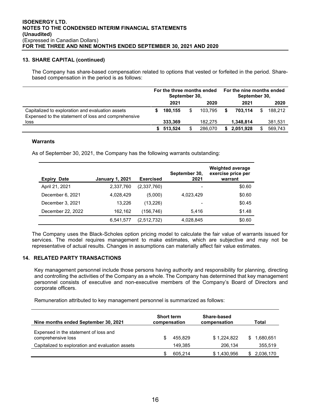## **13. SHARE CAPITAL (continued)**

The Company has share-based compensation related to options that vested or forfeited in the period. Sharebased compensation in the period is as follows:

|                                                                                                         | For the three months ended<br>September 30, |         | For the nine months ended<br>September 30, |   |           |     |         |
|---------------------------------------------------------------------------------------------------------|---------------------------------------------|---------|--------------------------------------------|---|-----------|-----|---------|
|                                                                                                         |                                             | 2021    | 2020                                       |   | 2021      |     | 2020    |
| Capitalized to exploration and evaluation assets<br>Expensed to the statement of loss and comprehensive |                                             | 180.155 | \$<br>103.795                              |   | 703.114   | \$. | 188.212 |
| loss                                                                                                    |                                             | 333.369 | 182.275                                    |   | 1.348.814 |     | 381,531 |
|                                                                                                         |                                             | 513.524 | 286.070                                    | S | 2,051,928 | \$. | 569.743 |

## **Warrants**

As of September 30, 2021, the Company has the following warrants outstanding:

| <b>Date</b><br><b>Expiry</b> | <b>January 1, 2021</b> | <b>Exercised</b> | September 30,<br>2021 | <b>Weighted average</b><br>exercise price per<br>warrant |
|------------------------------|------------------------|------------------|-----------------------|----------------------------------------------------------|
| April 21, 2021               | 2,337,760              | (2,337,760)      |                       | \$0.60                                                   |
| December 6, 2021             | 4.028.429              | (5,000)          | 4,023,429             | \$0.60                                                   |
| December 3, 2021             | 13.226                 | (13, 226)        | $\qquad \qquad$       | \$0.45                                                   |
| December 22, 2022            | 162.162                | (156,746)        | 5.416                 | \$1.48                                                   |
|                              | 6,541,577              | (2,512,732)      | 4,028,845             | \$0.60                                                   |

The Company uses the Black-Scholes option pricing model to calculate the fair value of warrants issued for services. The model requires management to make estimates, which are subjective and may not be representative of actual results. Changes in assumptions can materially affect fair value estimates.

## **14. RELATED PARTY TRANSACTIONS**

Key management personnel include those persons having authority and responsibility for planning, directing and controlling the activities of the Company as a whole. The Company has determined that key management personnel consists of executive and non-executive members of the Company's Board of Directors and corporate officers.

Remuneration attributed to key management personnel is summarized as follows:

| Nine months ended September 30, 2021                        | <b>Short term</b><br>Share-based<br>compensation<br>compensation |         | Total       |  |           |
|-------------------------------------------------------------|------------------------------------------------------------------|---------|-------------|--|-----------|
| Expensed in the statement of loss and<br>comprehensive loss | \$.                                                              | 455.829 | \$1.224.822 |  | 1.680.651 |
| Capitalized to exploration and evaluation assets            |                                                                  | 149.385 | 206.134     |  | 355,519   |
|                                                             |                                                                  | 605.214 | \$1,430,956 |  | 2,036,170 |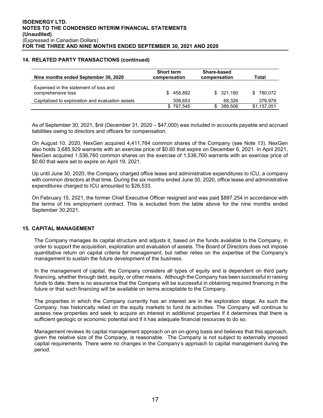## **14. RELATED PARTY TRANSACTIONS (continued)**

| Nine months ended September 30, 2020                        | <b>Short term</b><br>compensation | Share-based<br>compensation | Total       |
|-------------------------------------------------------------|-----------------------------------|-----------------------------|-------------|
| Expensed in the statement of loss and<br>comprehensive loss | 458.892<br>SS.                    | \$321.180                   | \$780.072   |
| Capitalized to exploration and evaluation assets            | 308,653                           | 68.326                      | 376,979     |
|                                                             | 767.545                           | 389,506                     | \$1,157,051 |

As of September 30, 2021, \$nil (December 31, 2020 – \$47,000) was included in accounts payable and accrued liabilities owing to directors and officers for compensation.

On August 10, 2020, NexGen acquired 4,411,764 common shares of the Company (see Note 13). NexGen also holds 3,685,929 warrants with an exercise price of \$0.60 that expire on December 6, 2021. In April 2021, NexGen acquired 1,536,760 common shares on the exercise of 1,536,760 warrants with an exercise price of \$0.60 that were set to expire on April 19, 2021.

Up until June 30, 2020, the Company charged office lease and administrative expenditures to ICU, a company with common directors at that time. During the six months ended June 30, 2020, office lease and administrative expenditures charged to ICU amounted to \$26,533.

On February 15, 2021, the former Chief Executive Officer resigned and was paid \$897,254 in accordance with the terms of his employment contract. This is excluded from the table above for the nine months ended September 30,2021.

## **15. CAPITAL MANAGEMENT**

The Company manages its capital structure and adjusts it, based on the funds available to the Company, in order to support the acquisition, exploration and evaluation of assets. The Board of Directors does not impose quantitative return on capital criteria for management, but rather relies on the expertise of the Company's management to sustain the future development of the business.

In the management of capital, the Company considers all types of equity and is dependent on third party financing, whether through debt, equity, or other means. Although the Company has been successful in raising funds to date, there is no assurance that the Company will be successful in obtaining required financing in the future or that such financing will be available on terms acceptable to the Company.

The properties in which the Company currently has an interest are in the exploration stage. As such the Company, has historically relied on the equity markets to fund its activities. The Company will continue to assess new properties and seek to acquire an interest in additional properties if it determines that there is sufficient geologic or economic potential and if it has adequate financial resources to do so.

Management reviews its capital management approach on an on-going basis and believes that this approach, given the relative size of the Company, is reasonable. The Company is not subject to externally imposed capital requirements. There were no changes in the Company's approach to capital management during the period.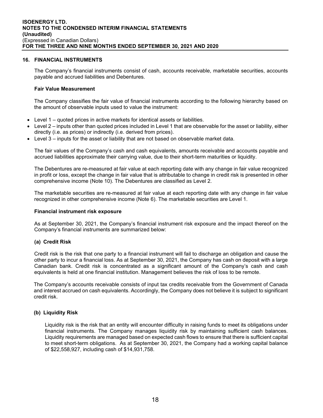## **16. FINANCIAL INSTRUMENTS**

The Company's financial instruments consist of cash, accounts receivable, marketable securities, accounts payable and accrued liabilities and Debentures.

## **Fair Value Measurement**

The Company classifies the fair value of financial instruments according to the following hierarchy based on the amount of observable inputs used to value the instrument:

- Level 1 quoted prices in active markets for identical assets or liabilities.
- Level 2 inputs other than quoted prices included in Level 1 that are observable for the asset or liability, either directly (i.e. as prices) or indirectly (i.e. derived from prices).
- Level 3 inputs for the asset or liability that are not based on observable market data.

The fair values of the Company's cash and cash equivalents, amounts receivable and accounts payable and accrued liabilities approximate their carrying value, due to their short-term maturities or liquidity.

The Debentures are re-measured at fair value at each reporting date with any change in fair value recognized in profit or loss, except the change in fair value that is attributable to change in credit risk is presented in other comprehensive income (Note 10). The Debentures are classified as Level 2.

The marketable securities are re-measured at fair value at each reporting date with any change in fair value recognized in other comprehensive income (Note 6). The marketable securities are Level 1.

## **Financial instrument risk exposure**

As at September 30, 2021, the Company's financial instrument risk exposure and the impact thereof on the Company's financial instruments are summarized below:

## **(a) Credit Risk**

Credit risk is the risk that one party to a financial instrument will fail to discharge an obligation and cause the other party to incur a financial loss. As at September 30, 2021, the Company has cash on deposit with a large Canadian bank. Credit risk is concentrated as a significant amount of the Company's cash and cash equivalents is held at one financial institution. Management believes the risk of loss to be remote.

The Company's accounts receivable consists of input tax credits receivable from the Government of Canada and interest accrued on cash equivalents. Accordingly, the Company does not believe it is subject to significant credit risk.

## **(b) Liquidity Risk**

Liquidity risk is the risk that an entity will encounter difficulty in raising funds to meet its obligations under financial instruments. The Company manages liquidity risk by maintaining sufficient cash balances. Liquidity requirements are managed based on expected cash flows to ensure that there is sufficient capital to meet short-term obligations. As at September 30, 2021, the Company had a working capital balance of \$22,558,927, including cash of \$14,931,758.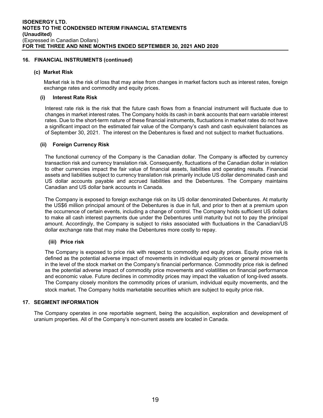## **16. FINANCIAL INSTRUMENTS (continued)**

## **(c) Market Risk**

Market risk is the risk of loss that may arise from changes in market factors such as interest rates, foreign exchange rates and commodity and equity prices.

## **(i) Interest Rate Risk**

Interest rate risk is the risk that the future cash flows from a financial instrument will fluctuate due to changes in market interest rates. The Company holds its cash in bank accounts that earn variable interest rates. Due to the short-term nature of these financial instruments, fluctuations in market rates do not have a significant impact on the estimated fair value of the Company's cash and cash equivalent balances as of September 30, 2021. The interest on the Debentures is fixed and not subject to market fluctuations.

## **(ii) Foreign Currency Risk**

The functional currency of the Company is the Canadian dollar. The Company is affected by currency transaction risk and currency translation risk. Consequently, fluctuations of the Canadian dollar in relation to other currencies impact the fair value of financial assets, liabilities and operating results. Financial assets and liabilities subject to currency translation risk primarily include US dollar denominated cash and US dollar accounts payable and accrued liabilities and the Debentures. The Company maintains Canadian and US dollar bank accounts in Canada.

The Company is exposed to foreign exchange risk on its US dollar denominated Debentures. At maturity the US\$6 million principal amount of the Debentures is due in full, and prior to then at a premium upon the occurrence of certain events, including a change of control. The Company holds sufficient US dollars to make all cash interest payments due under the Debentures until maturity but not to pay the principal amount. Accordingly, the Company is subject to risks associated with fluctuations in the Canadian/US dollar exchange rate that may make the Debentures more costly to repay.

## **(iii) Price risk**

The Company is exposed to price risk with respect to commodity and equity prices. Equity price risk is defined as the potential adverse impact of movements in individual equity prices or general movements in the level of the stock market on the Company's financial performance. Commodity price risk is defined as the potential adverse impact of commodity price movements and volatilities on financial performance and economic value. Future declines in commodity prices may impact the valuation of long-lived assets. The Company closely monitors the commodity prices of uranium, individual equity movements, and the stock market. The Company holds marketable securities which are subject to equity price risk.

## **17. SEGMENT INFORMATION**

The Company operates in one reportable segment, being the acquisition, exploration and development of uranium properties. All of the Company's non-current assets are located in Canada.